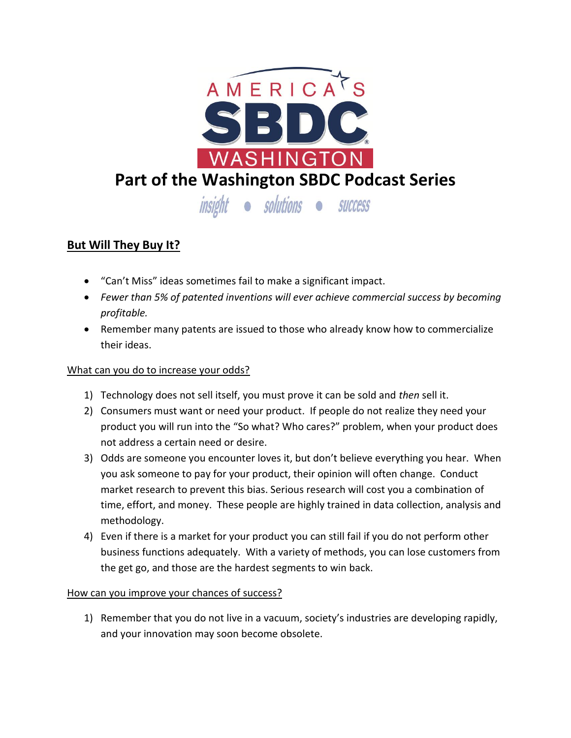

## **But Will They Buy It?**

- "Can't Miss" ideas sometimes fail to make a significant impact.
- *Fewer than 5% of patented inventions will ever achieve commercial success by becoming profitable.*
- Remember many patents are issued to those who already know how to commercialize their ideas.

## What can you do to increase your odds?

- 1) Technology does not sell itself, you must prove it can be sold and *then* sell it.
- 2) Consumers must want or need your product. If people do not realize they need your product you will run into the "So what? Who cares?" problem, when your product does not address a certain need or desire.
- 3) Odds are someone you encounter loves it, but don't believe everything you hear. When you ask someone to pay for your product, their opinion will often change. Conduct market research to prevent this bias. Serious research will cost you a combination of time, effort, and money. These people are highly trained in data collection, analysis and methodology.
- 4) Even if there is a market for your product you can still fail if you do not perform other business functions adequately. With a variety of methods, you can lose customers from the get go, and those are the hardest segments to win back.

## How can you improve your chances of success?

1) Remember that you do not live in a vacuum, society's industries are developing rapidly, and your innovation may soon become obsolete.